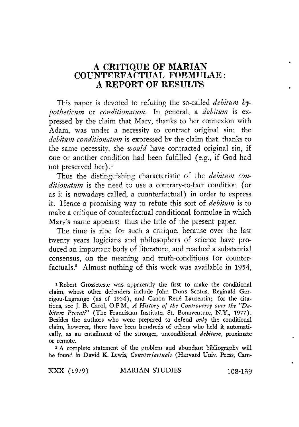# **A CRITIQUE OF MARIAN COUNTERFACTUAL FORMULAE: A REPORT OF RESULTS**

This paper is devoted to refuting the so-called *debitum hypotheticum* or *conditionatum.* In general, a *debitum* is expressed by the claim that Mary, thanks to her connexion with Adam, was under a necessity to contract original sin; the *debitum conditionatum* is expressed by the claim that, thanks to the same necessity, she *would* have contracted original sin, if one or another condition had been fulfilled (e.g., if God had not preserved her).<sup>1</sup>

Thus the distinguishing characteristic of the *debitum conditionatum* is the need to use a contrary-to-fact condition (or as it is nowadays called, a counterfactual) in order to express it. Hence a promising way to refute this sort of *debitum* is to make a critique of counterfactual conditional formulae in which Mary's name appears; thus the title of the present paper.

The time is ripe for such a critique, because over the last twenty years logicians and philosophers of science have produced an important body of literature, and reached a substantial consensus, on the meaning and truth-conditions for counterfactuals.2 Almost nothing of this work was available in 1954,

**1 Robert Grosseteste was apparently the first to make the conditional claim, whose other defenders include John Duns Scotus, Reginald Gar**rigou-Lagrange (as of 1954), and Canon René Laurentin; for the cita**tions, see J. B. Carol, O.F.M.,** *A History of the Controversy over the ''De*bitum Peccati" (The Franciscan Institute, St. Bonaventure, N.Y., 1977). **Besides the authors who were prepared to defend** *only* **the conditional claim, however, there have been hundreds of others who held it automatically, as an entailment of the stronger, unconditional** *debitum,* **proximate or remote.**

**2 A complete statement of the problem and abundant bibliography will** be found in David K. Lewis, *Counterfactuals* (Harvard Univ. Press, Cam-

**X X X (1979) MARIAN STUDIES 108-139**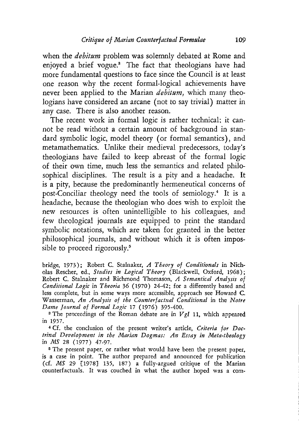when the *debitum* problem was solemnly debated at Rome and enjoyed a brief vogue.<sup>3</sup> The fact that theologians have had more fundamental questions to face since the Council is at least one reason why the recent formal-logical achievements have never been applied to the Marian *debitum,* which many theologians have considered an arcane (not to say trivial) matter in any case. There is also another reason.

The recent work in formal logic is rather technical; it cannot be read without a certain amount of background in standard symbolic logic, model theory (or formal semantics), and metamathematics. Unlike their medieval predecessors, today's theologians have failed to keep abreast of the formal logic of their own time, much less the semantics and related philosophical disciplines. The result is a pity and a headache. It is a pity, because the predominantly hermeneutical concerns of post-Conciliar theology need the tools of semiology.4 It is a headache, because the theologian who does wish to exploit the new resources is often unintelligible to his colleagues, and few theological journals are equipped to print the standard symbolic notations, which are taken for granted in the better philosophical journals, and without which it is often impossible to proceed rigorously.<sup>5</sup>

bridge, 1973); Robert C. Stalnaker, *A Theory of Conditionals* in Nicholas Rescher, ed., *Studies in Logical Theory* (Blackwell, Oxford, 1968); **Robert C. Stalnaker and Richmond Thomason,** *A Semantical Analysis of Conditional Logic* **in** *Theoria* **36 (1 9 7 0 ) 24-42; for a differently based and less complete, but in some ways more accessible, approach see Howard C. Wasserman,** *An Analysis of the Counterfactual Conditional* **in the** *Notre Dame Journal of Formal Logic* 17 (1976) 395-400.

**3 The proceedings of the Roman debate are in** *V gl* **11, which appeared in 1957.**

**4 Cf. the conclusion of the present writer's article,** *Criteria for Doctrinal Development in the Marian Dogmas: An Essay in Meta-theology* **in** *MS* 28 (1977) 47-97.

**5 The present paper, or rather what would have been the present paper, is a case in point. The author prepared and announced for publication** (cf. MS 29 [1978] 135, 187) a fully-argued critique of the Marian **counterfactuals. It was couched in what the author hoped was a com-**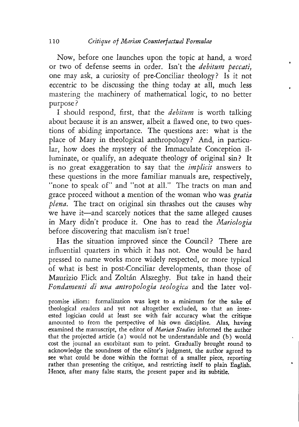Now, before one launches upon the topic at hand, a word or two of defense seems in order. Isn't the *debitum peccati,* one may ask, a curiosity of pre-Conciliar theology? Is it not eccentric to be discussing the thing today at all, much less mastering the machinery of mathematical logic, to no better purpose?

I should respond, first, that the *debitum* is worth talking about because it is an answer, albeit a flawed one, to two questions of abiding importance. The questions are: what is the place of Mary in theological anthropology? And, in particular, how does the mystery of the Immaculate Conception illuminate, or qualify, an adequate theology of original sin? It is no great exaggeration to say that the *implicit* answers to these questions in the more familiar manuals are, respectively, "none to speak of" and "not at all." The tracts on man and grace proceed without a mention of the woman who was *gratia plena.* The tract on original sin thrashes out the causes why we have it— and scarcely notices that the same alleged causes in Mary didn't produce it. One has to read the *Mariologia* before discovering that maculism isn't true!

Has the situation improved since the Council? There are influential quarters in which it has not. One would be hard pressed to name works more widely respected, or more typical of what is best in post-Conciliar developments, than those of Maurizio Flick and Zoltán Alszeghy. But take in hand their *Fondamenti di una antropologia teologica* and the later vol-

**promise idiom: formalization was kept to a minimum for the sake of theological readers and yet not altogether excluded, so that an interested logician could at least see with fair accuracy what the critique amounted to from the perspective of his own discipline. Alas, having examined the manuscript, the editor of** *Marian Studies* **informed the author that the projected article (a ) would not be understandable and (b ) would cost the journal an exorbitant sum to print. Gradually brought round to acknowledge the soundness of the editor's judgment, the author agreed to see what could be done within the format of a smaller piece, reporting rather than presenting the critique, and restricting itself to plain English. Hence, after many false starts, the present paper and its subtitle.**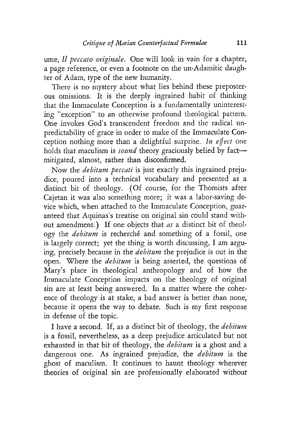ume, Il *peccato originale.* One will look in vain for a chapter, a page reference, or even a footnote on the un-Adamitic daughter of Adam, type of the new humanity.

There is no mystery about what lies behind these preposterous omissions. It is the deeply ingrained habit of thinking that the Immaculate Conception is a fundamentally uninteresting "exception" to an otherwise profound theological pattern. One invokes God's transcendent freedom and the radical unpredictability of grace in order to make of the Immaculate Conception nothing more than a delightful surprise. *In effect* one holds that maculism is *sound* theory graciously belied by fact mitigated, almost, rather than disconfirmed.

Now the *debitum peccati* is just exactly this ingrained prejudice, poured into a technical vocabulary and presented as a distinct bit of theology. (Of course, for the Thomists after Cajetan it was also something more; it was a labor-saving device which, when attached to the Immaculate Conception, guaranteed that Aquinas's treatise on original sin could stand without amendment.) If one objects that *as* a distinct bit of theology the *debitum* is recherché and something of a fossil, one is largely correct; yet the thing is worth discussing, I am arguing, precisely because in the *debitum* the prejudice is out in the open. Where the *debitum* is being asserted, the questions of Mary's place in theological anthropology and of how the Immaculate Conception impacts on the theology of original sin are at least being answered. In a matter where the coherence of theology is at stake, a bad answer is better than none, because it opens the way to debate. Such is my first response in defense of the topic.

I have a second. If, as a distinct bit of theology, the *debitum* is a fossil, nevertheless, as a deep prejudice articulated but not exhausted in that bit of theology, the *debitum* is a ghost and a dangerous one. As ingrained prejudice, the *debitum* is the ghost of maculism. It continues to haunt theology wherever theories of original sin are professionally elaborated without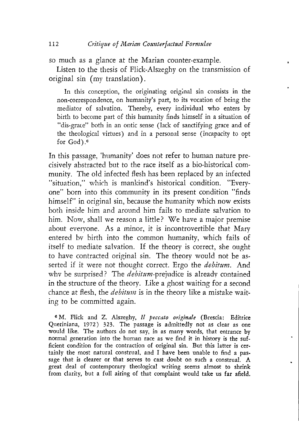so much as a glance at the Marian counter-example.

Listen to the thesis of Flick-Alszeghy on the transmission of original sin (my translation).

**In this conception, the originating original sin consists in the non-correspondence, on humanity's part, to its vocation of being the mediator of salvation. Thereby, every individual who enters by birth to become part of this humanity finds himself in a situation of** "dis-grace" both in an ontic sense (lack of sanctifying grace and of **the theological virtues) and in a personal sense (incapacity to opt** for God).<sup>6</sup>

In this passage, 'humanity' does not refer to human nature precisively abstracted but to the race itself as a bio-historical community. The old infected flesh has been replaced by an infected "situation," which is mankind's historical condition. "Everyone" born into this community in its present condition "finds himself" in original sin, because the humanity which now exists both inside him and around him fails to mediate salvation to him. Now, shall we reason a little? We have a major premise about everyone. As a minor, it is incontrovertible that Mary entered by birth into the common humanity, which fails of itself to mediate salvation. If the theory is correct, she ought to have contracted original sin. The theory would not be asserted if it were not thought correct. Ergo the *debitum.* And why be surprised? The *debitum*-prejudice is already contained in the structure of the theory. Like a ghost waiting for a second chance at flesh, the *debitum* is in the theory like a mistake waiting to be committed again.

**6 M. Flick and Z. Alszeghy, Il** *peccato originale* **(Brescia: Editrice Queriniana, 1972) 323. The passage is admittedly not as clear as one would like. The authors do not say, in as many words, that entrance by normal generation into the human race as we find it in history is the sufficient condition for the contraction of original sin. But this latter is certainly the most natural construal, and I have been unable to find a passage that is clearer or that serves to cast doubt on such a construal. A great deal of contemporary theological writing seems almost to shrink from clarity, but a full airing of that complaint would take us far afield.**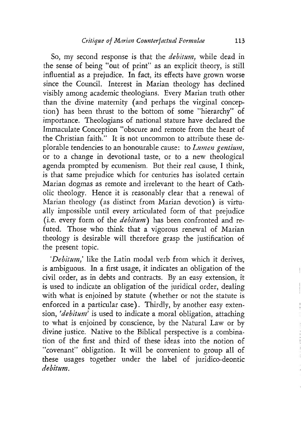So, my second response is that the *debitum,* while dead in the sense of being "out of print" as an explicit theory, is still influential as a prejudice. In fact, its effects have grown worse since the Council. Interest in Marian theology has declined visibly among academic theologians. Every Marian truth other than the divine maternity (and perhaps the virginal conception) has been thrust to the bottom of some "hierarchy" of importance. Theologians of national stature have declared the Immaculate Conception "obscure and remote from the heart of the Christian faith." It is not uncommon to attribute these deplorable tendencies to an honourable cause: to *Lumen gentium,* or to a change in devotional taste, or to a new theological agenda prompted by ecumenism. But their real cause, I think, is that same prejudice which for centuries has isolated certain Marian dogmas as remote and irrelevant to the heart of Catholic theology. Hence it is reasonably clear that a renewal of Marian theology (as distinct from Marian devotion) is virtually impossible until every articulated form of that prejudice (i.e. every form of the *debitum)* has been confronted and refuted. Those who think that a vigorous renewal of Marian theology is desirable will therefore grasp the justification of the present topic.

*'Debitum,'* like the Latin modal verb from which it derives, is ambiguous. In a first usage, it indicates an obligation of the civil order, as in debts and contracts. By an easy extension, it is used to indicate an obligation of the juridical order, dealing with what is enjoined by statute (whether or not the statute is enforced in a particular case). Thirdly, by another easy extension, *'debitum'* is used to indicate a moral obligation, attaching to what is enjoined by conscience, by the Natural Law or by divine justice. Native to the Biblical perspective is a combination of the first and third of these ideas into the notion of "covenant" obligation. It will be convenient to group all of these usages together under the label of juridico-deontic *debitum.*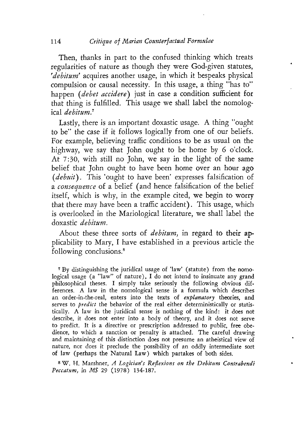Then, thanks in part to the confused thinking which treats regularities of nature as though they were God-given statutes, '*debitum'* acquires another usage, in which it bespeaks physical compulsion or causal necessity. In this usage, a thing "has to" happen *(debet accidere)* just in case a condition sufficient for that thing is fulfilled. This usage we shall label the nomological *debitum.7*

Lastly, there is an important doxastic usage. A thing "ought to be" the case if it follows logically from one of our beliefs. For example, believing traffic conditions to be as usual on the highway, we say that John ought to be home by 6 o'clock. At 7:30, with still no John, we say in the light of the same belief that John ought to have been home over an hour ago (*debuit*). This 'ought to have been' expresses falsification of a *consequence* of a belief (and hence falsification of the belief itself, which is why, in the example cited, we begin to worry that there may have been a traffic accident). This usage, which is overlooked in the Mariological literature, we shall label the doxastic *debitum.*

About these three sorts of *debitum,* in regard to their applicability to Mary, I have established in a previous article the following conclusions.<sup>8</sup>

**7 By distinguishing the juridical usage of 'law' (statute) from the nomo**logical usage (a "law" of nature), I do not intend to insinuate any grand **philosophical theses. I simply take seriously the following obvious differences. A law in the nomological sense is a formula which describes an order-in-the-real, enters into the texts of** *explanatory* **theories, and serves to** *predict* **the behavior of the real either deterministically or statistically. A law in the juridical sense is nothing of the kind: it does not describe, it does not enter into a body of theory, and it does not serve to predict. It is a directive or prescription addressed to public, free obedience, to which a sanction or penalty is attached. The careful drawing and maintaining of this distinction does not presume an atheistical view of nature, nor does it preclude the possibility of an oddly intermediate sort of law (perhaps the N atural Law ) which partakes of both sides.**

**8 W . H. Marshner,** *A Logician's Reflexions on the Debitum Contrahendi Peccatum*, in *MS* 29 (1978) 134-187.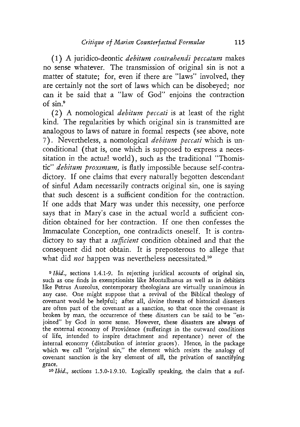(1 ) A juridico-deontic *debitum contrahendi peccatum* makes no sense whatever. The transmission of original sin is not a matter of statute; for, even if there are "laws" involved, they are certainly not the sort of laws which can be disobeyed; nor can it be said that a "law of God" enjoins the contraction of sin.9

(2 ) A nomological *debitum peccati* is at least of the right kind. The regularities by which original sin is transmitted are analogous to laws of nature in formal respects (see above, note 7 ). Nevertheless, a nomological *debitum peccati* which is unconditional (that is, one which is supposed to express a necessitation in the actual world), such as the traditional "Thomistic" *debitum proximum,* is flatly impossible because self-contradictory. If one claims that every naturally begotten descendant of sinful Adam necessarily contracts original sin, one is saying that such descent is a sufficient condition for the contraction. If one adds that Mary was under this necessity, one perforce says that in Mary's case in the actual world a sufficient condition obtained for her contraction. If one then confesses the Immaculate Conception, one contradicts oneself. It is contradictory to say that a *sufficient* condition obtained and that the consequent did not obtain. It is preposterous to allege that what did *not* happen was nevertheless necessitated.<sup>10</sup>

**9** *Ibid.,* **sections 1.4.1-9. In rejecting juridical accounts of original sin, such as one finds in exemptionists like Montalbanus as well as in debitists like Petrus Aureolus, contemporary theologians are virtually unanimous in any case. One might suppose that a revival of the Biblical theology of covenant would be helpful; after all, divine threats of historical disasters are often part of the covenant as a sanction, so that once the covenant is broken by man, the occurrence of these disasters can be said to be "enjoined" by God in some sense. However, these disasters are always of the external economy of Providence (sufferings in the outward conditions of life, intended to inspire detachment and repentance) never of the internal economy (distribution of interior graces). Hence, in the package which we call "original sin," the element which resists the analogy of covenant sanction is the key element of all, the privation of sanctifying grace.**

**10** *Ibid.,* **sections 1.5.0-1.9.10. Logically speaking, the claim that a suf**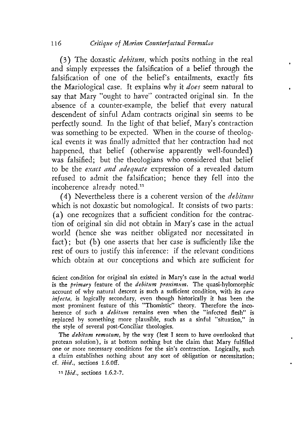(3 ) The doxastic *debitum,* which posits nothing in the real and simply expresses the falsification of a belief through the falsification of one of the belief's entailments, exactly fits the Mariological case. It explains why it *does* seem natural to say that Mary "ought to have" contracted original sin. In the absence of a counter-example, the belief that every natural descendent of sinful Adam contracts original sin seems to be perfectly sound. In the light of that belief, Mary's contraction was something to be expected. When in the course of theological events it was finally admitted that her contraction had not happened, that belief (otherwise apparently well-founded) was falsified; but the theologians who considered that belief to be the *exact and adequate* expression of a revealed datum refused to admit the falsification; hence they fell into the incoherence already noted.11

(4 ) Nevertheless there is a coherent version of the *debitum* which is not doxastic but nomological. It consists of two parts: (a) one recognizes that a sufficient condition for the contraction of original sin did not obtain in Mary's case in the actual world (hence she was neither obligated nor necessitated in  $fact)$ ; but (b) one asserts that her case is sufficiently like the rest of ours to justify this inference: if the relevant conditions which obtain at our conceptions and which are sufficient for

**ficient condition for original sin existed in Mary's case in the actual world is the** *primary* **feature of the** *debitum proximum.* **The quasi-hylomorphic account of why natural descent is such a sufficient condition, with its** *caro infecta,* **is logically secondary, even though historically it has been the most prominent feature of this "Thomistic" theory. Therefore the incoherence of such a** *debitum* **remains even when the "infected flesh" is replaced by something more plausible, such as a sinful "situation," in the style of several post-Conciliar theologies.**

**The** *debitum remotum,* **by the way (lest I seem to have overlooked that protean solution), is at bottom nothing but the claim that Mary fulfilled one or more necessary conditions for the sin's contraction. Logically, such a claim establishes nothing about any sort of obligation or necessitation; cf.** *ibid.,* **sections 1.6.0ff.**

**11** *Ibid.,* **sections 1.6.2-7.**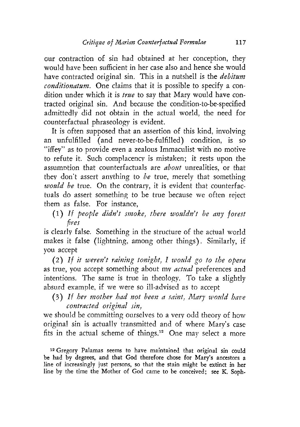cur contraction of sin had obtained at her conception, they would have been sufficient in her case also and hence she would have contracted original sin. This in a nutshell is the *debitum conditionatum.* One claims that it is possible to specify a condition under which it is *true* to say that Mary would have contracted original sin. And because the condition-to-be-specified admittedly did not obtain in the actual world, the need for counterfactual phraseology is evident.

It is often supposed that an assertion of this kind, involving an unfulfilled (and never-to-be-fulfilled) condition, is so "iffey" as to provide even a zealous Immaculist with no motive to refute it. Such complacency is mistaken; it rests upon the assumption that counterfactuals are *about* unrealities, or that they don't assert anything to *be* true, merely that something *would be* true. On the contrary, it is evident that counterfactuals do assert something to be true because we often reject them as false. For instance,

(1) If people didn't smoke, there wouldn't be any forest *fires*

is clearly false. Something in the structure of the actual world makes it false (lightning, among other things). Similarly, if you accept

(2 ) *I f it weren't raining tonight, I would go to the opera* as true, you accept something about my *actual* preferences and intentions. The same is true in theology. To take a slightly absurd example, if we were so ill-advised as to accept

(3 ) *I f her mother had not been a saint, Mary would have contracted original sin,*

we should be committing ourselves to a very odd theory of how original sin is actually transmitted and of where Mary's case fits in the actual scheme of things.<sup>12</sup> One may select a more

**12 Gregory Palamas seems to have maintained that original sin could be had by degrees, and that God therefore chose for Mary's ancestors a line of increasingly just persons, so that the stain might be extinct in her line by the time the Mother of God came to be conceived; see K. Soph**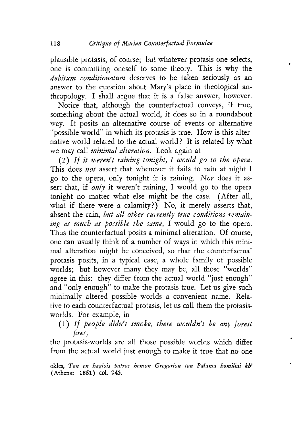plausible protasis, of course; but whatever protasis one selects, one is committing oneself to some theory. This is why the *debitum conditionatum* deserves to be taken seriously as an answer to the question about Mary's place in theological anthropology. I shall argue that it is a false answer, however.

Notice that, although the counterfactual conveys, if true, something about the actual world, it does so in a roundabout way. It posits an alternative course of events or alternative "possible world" in which its protasis is true. How is this alternative world related to the actual world? It is related by what we may call *minimal alteration.* Look again at

(2 ) *I f it weren't raining tonight, I would go to the opera.* This does *not* assert that whenever it fails to rain at night I go to the opera, only tonight it is raining. *Nor* does it assert that, if *only* it weren't raining, I would go to the opera tonight no matter what else might be the case. (After all, what if there were a calamity?) No, it merely asserts that, absent the rain, *but all other currently true conditions remaining as much as possible the same,* I would go to the opera. Thus the counterfactual posits a minimal alteration. Of course, one can usually think of a number of ways in which this minimal alteration might be conceived, so that the counterfactual protasis posits, in a typical case, a whole family of possible worlds; but however many they may be, all those "worlds" agree in this: they differ from the actual world "just enough" and "only enough" to make the protasis true. Let us give such minimally altered possible worlds a convenient name. Relative to each counterfactual protasis, let us call them the protasisworlds. For example, in

(1) If people didn't smoke, there wouldn't be any forest *fires,*

the protasis-worlds are all those possible worlds which differ from the actual world just enough to make it true that no one

**okles,** *Tou en hagiois patros hemon Gregorion ton Palama homiliai kb'* **(Athens: 1861) col. 945.**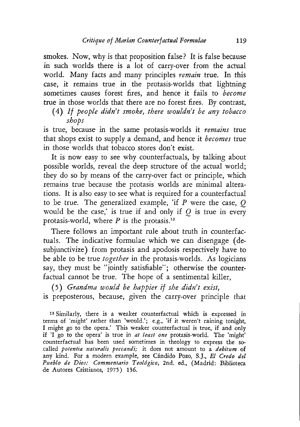smokes. Now, why is that proposition false? It is false because in such worlds there is a lot of carry-over from the actual world. Many facts and many principles *remain* true. In this case, it remains true in the protasis-worlds that lightning sometimes causes forest fires, and hence it fails to *become* true in those worlds that there are no forest fires. By contrast,

(4) If people didn't smoke, there wouldn't be any tobacco *shops*

is true, because in the same protasis-worlds it *remains* true that shops exist to supply a demand, and hence it *becomes* true in those worlds that tobacco stores don't exist.

It is now easy to see why counterfactuals, by talking about possible worlds, reveal the deep structure of the actual world; they do so by means of the carry-over fact or principle, which remains true because the protasis worlds are minimal alterations. It is also easy to see what is required for a counterfactual to be true. The generalized example, 'if *P* were the case, *Q* would be the case,' is true if and only if *Q* is true in every protasis-world, where *P* is the protasis.13

There follows an important rule about truth in counterfactuals. The indicative formulae which we can disengage (desubjunctivize) from protasis and apodosis respectively have to be able to be true *together* in the protasis-worlds. As logicians say, they must be "jointly satisfiable"; otherwise the counterfactual cannot be true. The hope of a sentimental killer,

(5 ) *Grandma would be happier if she didn't exist,*

is preposterous, because, given the carry-over principle that

**13 Similarly, there is a weaker counterfactual which is expressed in** terms of 'might' rather than 'would.'; e.g., 'if it weren't raining tonight, **I might go to the opera.' This weaker counterfactual is true, if and only if 'I go to the opera' is true in** *at least one* **protasis-world. The 'might' counterfactual has been used sometimes in theology to express the socalled** *potentia naturalis peccandi;* **it does not amount to a** *debitum* **of any kind. For a modern example, see Cándido Pozo, S.J.,** *El Credo del Pueblo de Dios: Commentario Teológico,* **2nd. ed., (M adrid: Biblioteca de Autores Cristianos, 1975) 136.**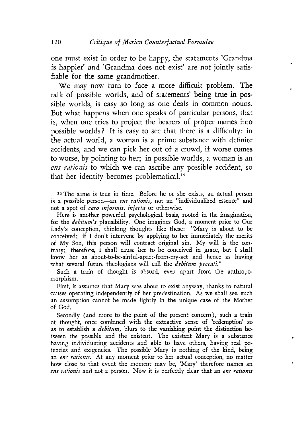one must exist in order to be happy, the statements 'Grandma is happier' and 'Grandma does not exist' are not jointly satisfiable for the same grandmother.

We may now turn to face a more difficult problem. The talk of possible worlds, and of statements' being true in possible worlds, is easy so long as one deals in common nouns. But what happens when one speaks of particular persons, that is, when one tries to project the bearers of proper names into possible worlds? It is easy to see that there is a difficulty: in the actual world, a woman is a prime substance with definite accidents, and we can pick her out of a crowd, if worse comes to worse, by pointing to her; in possible worlds, a woman is an *ens rationis* to which we can ascribe any possible accident, so that her identity becomes problematical.<sup>14</sup>

**14 The same is true in time. Before he or she exists, an actual person is a possible person— an** *ens rationis,* **not an "individualized essence" and not a spot of** *caro informis, infecta* **or otherwise.**

**Here is another powerful psychological basis, rooted in the imagination, for the** *debitum's* **plausibility. One imagines God, a moment prior to Our Lady's conception, thinking thoughts like these: " Mary is about to be conceived; if I don't intervene by applying to her immediately the merits of My Son, this person will contract original sin. My will is the contrary; therefore, I shall cause her to be conceived in grace, but I shall know her as about-to-be-sinful-apart-from-my-act and hence as having what several future theologians will call the** *debitum peccati."*

**Such a train of thought is absurd, even apart from the anthropomorphism.**

First, it assumes that Mary was about to exist anyway, thanks to natural **causes operating independently of her predestination. As we shall see, such an assumption cannot be made lightly in the unique case of the Mother of God.**

**Secondly (and more to the point of the present concern), such a train of thought, once combined with the extractive sense of 'redemption' so as to establish a** *debitum,* **blurs to the vanishing point the distinction between the possible and the existent. The existent Mary is a substance having individuating accidents and able to have others, having real potencies and exigencies. The possible Mary is nothing of the kind, being** an *ens rationis*. At any moment prior to her actual conception, no matter how close to that event the moment may be, 'Mary' therefore names an *ens rationis* **and not a person. Now it is perfectly clear that an** *ens rationis*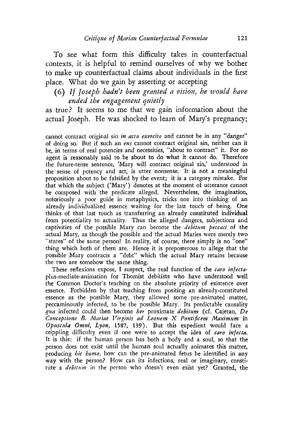To see what form this difficulty takes in counterfactual contexts, it is helpful to remind ourselves of why we bother to make up counterfactual claims about individuals in the first place. What do we gain by asserting or accepting

## (6) If Joseph hadn't been granted a vision, he would have *ended the engagement quietly*

as true? It seems to me that we gain information about the actual Joseph. He was shocked to learn of Mary's pregnancy;

**cannot contract original sin** *in actu exercito* **and cannot be in any "danger" of doing so. But if such an** *ens* **cannot contract original sin, neither can it be, in terms of real potencies and necessities, "about to contract" it. For no agent is reasonably said to be about to do what it cannot do. Therefore the future-tense sentence, 'Mary will contract original sin,' understood in the sense of potency and act, is utter nonsense. It is not a meaningful proposition about to be falsified by the event; it is a category mistake. For** that which the subject ('Mary') denotes at the moment of utterance cannot **be composed with the predicate alleged. Nevertheless, the imagination, notoriously a poor guide in metaphysics, tricks one into thinking of an already individualized essence waiting for the last touch of being. One thinks of that last touch as transferring an already constituted individual from potentiality to actuality. Thus the alleged dangers, subjections and captivities of the possible Mary can become the** *debitum peccati* **of the actual Mary, as though the possible and the actual Maries were merely two** "states" of the same person! In reality, of course, there simply is no "one" **thing which both of them are. Hence it is preposterous to allege that the possible M ary contracts a "debt" which the actual Mary retains because the two are somehow the same thing.**

**These reflexions expose, I suspect, the real function of the** *caro infecta***plus-mediate-animation for Thomist debitists who have understood well the Common Doctor's teaching on the absolute priority of existence over essence. Forbidden by that teaching from positing an already-constituted essence as the possible Mary, they allowed some pre-animated matter, peccaminously infected, to be the possible Mary. Its predictable causality** *qua* **infected could then become** *her* **proximate** *debitum* **(cf. Cajetan,** *De Conceptione B. Mariae Virginis ad Leonem* **X** *Pontificem Maximum* **in** *Opuscula Omni, Lyon,* 1587, 139). But this expedient would face a **crippling difficulty even if one were to accept the idea of** *caro infecta.* **It is this: if the human person has both a body and a soul, so that the person does not exist until the human soul actually animates this matter, producing** *hic homo,* **how can the pre-animated fetus be identified in any way with the person? How can its infections, real or imaginary, constitute a** *debitum* **in the person who doesn't even exist yet? Granted, the**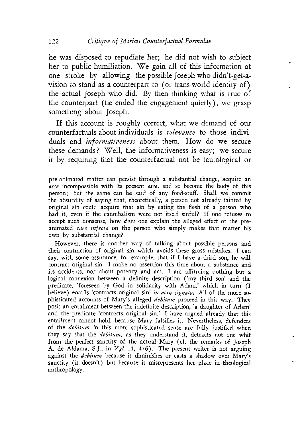he was disposed to repudiate her; he did not wish to subject her to public humiliation. We gain all of this information at one stroke by allowing the-possible-Joseph-who-didn't-get-avision to stand as a counterpart to (or trans-world identity of) the actual Joseph who did. By then thinking what is true of the counterpart (he ended the engagement quietly), we grasp something about Joseph.

If this account is roughly correct, what we demand of our counterfactuals-about-individuals is *relevance* to those individuals and *informativeness* about them. How do we secure these demands? Well, the informativeness is easy; we secure it by requiring that the counterfactual not be tautological or

**pre-animated matter can persist through a substantial change, acquire an** *esse* **incompossible with its present** *esse,* **and so become the body of this person; but the same can be said of any food-stuff. Shall we commit the absurdity of saying that, theoretically, a person not already tainted by original sin could acquire that sin by eating the flesh of a person who had it, even if the cannibalism were not itself sinful? If one refuses to accept such nonsense, how** *does* **one explain the alleged effect of the preanimated** *caro infecta* **on the person who simply makes that matter his own by substantial change?**

**However, there is another way of talking about possible persons and their contraction of original sin which avoids these gross mistakes. I can say, with some assurance, for example, that if I have a third son, he will contract original sin. I make no assertion this time about a substance and its accidents, nor about potency and act. I am affirming nothing but a** logical connexion between a definite description ('my third son' and the **predicate, 'foreseen by God in solidarity with Adam,' which in turn (I believe) entails 'contracts original sin'** *in actu signato.* **All of the more sophisticated accounts of M ary's alleged** *debitum* **proceed in this way. They posit an entailment between the indefinite description, 'a daughter of Adam' and the predicate 'contracts original sin.' I have argued already that this entailment cannot hold, because Mary falsifies it. Nevertheless, defenders of the** *debitum* **in this more sophisticated sense are fully justified when they say that the** *debitum,* **as they understand it, detracts not one whit from the perfect sanctity of the actual Mary (cf. the remarks of Joseph** A. de Aldama, S.J., in  $Vgl$  11, 476). The present writer is not arguing against the *debitum* because it diminishes or casts a shadow over Mary's sanctity (it doesn't) but because it misrepresents her place in theological **anthropology.**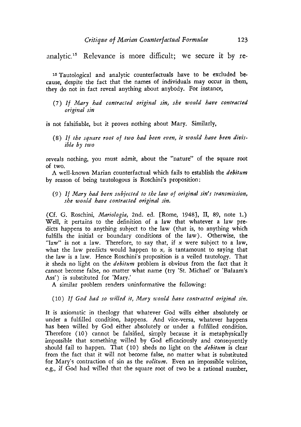analytic.15 Relevance is more difficult; we secure it by re-

**15 Tautological and analytic counterfactuals have to be excluded because, despite the fact that the names of individuals may occur in them, they do not in fact reveal anything about anybody. For instance,**

**( 7 )** *If Mary had contracted original sin, she would have contracted original sin*

**is not falsifiable, but it proves nothing about Mary. Similarly,**

**(8 )** *If the square root of two had been even, it would have been divisible by two*

**reveals nothing, you must admit, about the "nature" of the square root of two.**

**A well-known Marian counterfactual which fails to establish the** *debitum* **by reason of being tautologous is Roschini's proposition:**

**(9 )** *If Mary had been subjected to the law of original sin's transmission, she would have contracted original sin.*

**(C f. G. Roschini,** *Mariologia,* **2nd. ed. [Rome, 1948], II, 89, note 1.)** Well, it pertains to the definition of a law that whatever a law pre**dicts happens to anything subject to the law (that is, to anything which** fulfills the initial or boundary conditions of the law). Otherwise, the **"law " is not a law. Therefore, to say that, if** *x* **were subject to a law, what the law predicts would happen to** *x,* **is tantamount to saying that the law is a law. Hence Roschini's proposition is a veiled tautology. That it sheds no light on the** *debitum* **problem is obvious from the fact that it cannot become false, no matter what name (try 'St. Michael' or 'Balaam's Ass' ) is substituted for 'Mary.'**

**A similar problem renders uninformative the following:**

#### **(1 0 )** *If God had so willed it, Mary would have contracted original sin.*

**It is axiomatic in theology that whatever God wills either absolutely or under a fulfilled condition, happens. And vice-versa, whatever happens has been willed by God either absolutely or under a fulfilled condition.** Therefore (10) cannot be falsified, simply because it is metaphysically **impossible that something willed by God efficaciously and consequently** should fail to happen. That (10) sheds no light on the *debitum* is clear **from the fact that it will not become false, no matter what is substituted for M ary's contraction of sin as the** *volitum.* **Even an impossible volition, e.g., if God had willed that the square root of two be a rational number,**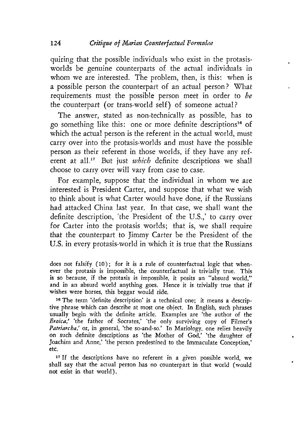quiring that the possible individuals who exist in the protasisworlds be genuine counterparts of the actual individuals in whom we are interested. The problem, then, is this: when is a possible person the counterpart of an actual person? What requirements must the possible person meet in order to *be* the counterpart (or trans-world self) of someone actual?

The answer, stated as non-technically as possible, has to go something like this: one or more definite descriptions<sup>16</sup> of which the actual person is the referent in the actual world, must carry over into the protasis-worlds and must have the possible person as their referent in those worlds, if they have any referent at all.<sup>17</sup> But just *which* definite descriptions we shall choose to carry over will vary from case to case.

For example, suppose that the individual in whom we are interested is President Carter, and suppose that what we wish to think about is what Carter would have done, if the Russians had attacked China last year. In that case, we shall want the definite description, 'the President of the U.S.,' to carry over for Carter into the protasis worlds; that is, we shall require that the counterpart to Jimmy Carter be the President of the U.S. in every protasis-world in which it is true that the Russians

does not falsify (10); for it is a rule of counterfactual logic that when**ever the protasis is impossible, the counterfactual is trivially true. This is so because, if the protasis is impossible, it posits an "absurd world," and in an absurd world anything goes. Hence it is trivially true that if wishes were horses, this beggar would ride.**

**16 The term 'definite description' is a technical one; it means a descriptive phrase which can describe at most one object. In English, such phrases usually begin with the definite article. Examples are 'the author of the** *Eroica,'* **'the father of Socrates,' 'the only surviving copy of Filmer's** *Patriarcha,'* **or, in general, 'the so-and-so.' In Mariology, one relies heavily on such definite descriptions as 'the Mother of God,' 'the daughter of Joachim and Anne,' 'the person predestined to the Immaculate Conception,' etc.**

**17 If the descriptions have no referent in a given possible world, we shall say that the actual person has no counterpart in that world (would not exist in that world).**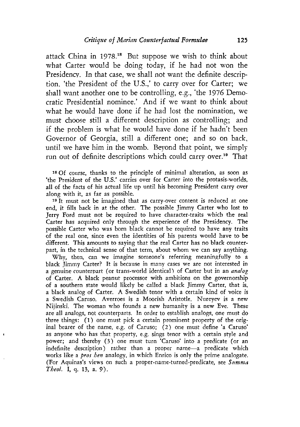attack China in 1978.18 But suppose we wish to think about what Carter would be doing today, if he had not won the Presidency. In that case, we shall not want the definite description, 'the President of the U.S.,' to carry over for Carter; we shall want another one to be controlling, e.g., 'the 1976 Democratic Presidential nominee.' And if we want to think about what he would have done if he had lost the nomination, we must choose still a different description as controlling; and if the problem is what he would have done if he hadn't been Governor of Georgia, still a different one; and so on back, until we have him in the womb. Beyond that point, we simply run out of definite descriptions which could carry over.19 That

**18 Of course, thanks to the principle of minimal alteration, as soon as** 'the President of the U.S.' carries over for Carter into the protasis-worlds, **all of the facts of his actual life up until his becoming President carry over along with it, as far as possible.**

**19 It must not be imagined that as carry-over content is reduced at one end, it fills back in at the other. The possible Jimmy Carter who lost to Jerry Ford must not be required to have character-traits which the real Carter has acquired only through the experience of the Presidency. The possible Carter who was born black cannot be required to have any traits of the real one, since even the identities of his parents would have to be different. This amounts to saying that the real Carter has no black counterpart, in the technical sense of that term, about whom we can say anything.**

**W hy, then, can we imagine someone's referring meaningfully to a black Jimmy Carter? It is because in many cases we are not interested in a genuine counterpart (or trans-world identical) of Carter but in an** *analog* **of Carter. A black peanut processor with ambitions on the governorship of a southern state would likely be called a black Jimmy Carter, that is, a black analog of Carter. A Swedish tenor with a certain kind of voice is a Swedish Caruso. Averroes is a Moorish Aristotle. Nureyev is a new Nijinski. The woman who founds a new humanity is a new Eve. These are all analogs, not counterparts. In order to establish analogs, one must do three things: (1 ) one must pick a certain prominent property of the orig**inal bearer of the name, e.g. of Caruso; (2) one must define 'a Caruso' **as anyone who has that property, e.g. sings tenor with a certain style and** power; and thereby (3) one must turn 'Caruso' into a predicate (or an indefinite description) rather than a proper name-a predicate which **works like a** *pros hen* **analogy, in which Enrico is only the prime analogate. (For Aquinas's views on such a proper-name-turned-predicate, see** *Summa Theol.* **I, q. 13, a. 9 ) .**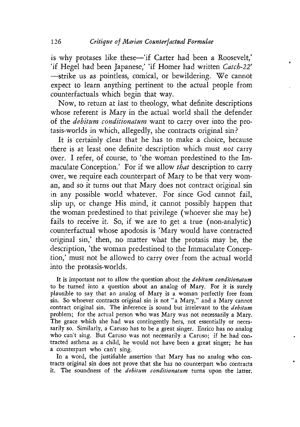is why protases like these— 'if Carter had been a Roosevelt,' 'if Hegel had been Japanese,' 'if Homer had written *Catch-22'* -strike us as pointless, comical, or bewildering. We cannot expect to learn anything pertinent to the actual people from counterfactuals which begin that way.

Now, to return at last to theology, what definite descriptions whose referent is Mary in the actual world shall the defender of the *debitum conditionatum* want to carry over into the protasis-worlds in which, allegedly, she contracts original sin?

It is certainly clear that he has to make a choice, because there is at least one definite description which must *not* carry over. I refer, of course, to 'the woman predestined to the Immaculate Conception.' For if we allow *that* description to carry over, we require each counterpart of Mary to be that very woman, and so it turns out that Mary does not contract original sin in any possible world whatever. For since God cannot fail, slip up, or change His mind, it cannot possibly happen that the woman predestined to that privilege (whoever she may be) fails to receive it. So, if we are to get a true (non-analytic) counterfactual whose apodosis is 'Mary would have contracted original sin,' then, no matter what the protasis may be, the description, 'the woman predestined to the Immaculate Conception,' must not be allowed to carry over from the actual world into the protasis-worlds.

**It is important not to allow the question about the** *debitum conditionatum* **to be turned into a question about an analog of Mary. For it is surely plausible to say that an analog of Mary is a woman perfectly free from** sin. So whoever contracts original sin is not "a Mary," and a Mary cannot **contract original sin. The inference is sound but irrelevant to the** *debitum* **problem; for the actual person who was Mary was not necessarily a Mary. The grace which she had was contingently hers, not essentially or necessarily so. Similarly, a Caruso has to be a great singer. Enrico has no analog who can't sing. But Caruso was not necessarily a Caruso; if he had contracted asthma as a child, he would not have been a great singer; he has a counterpart who can't sing.**

**In a word, the justifiable assertion that Mary has no analog who contracts original sin does not prove that she has no counterpart who contracts it. The soundness of the** *debitum conditionatum* **turns upon the latter.**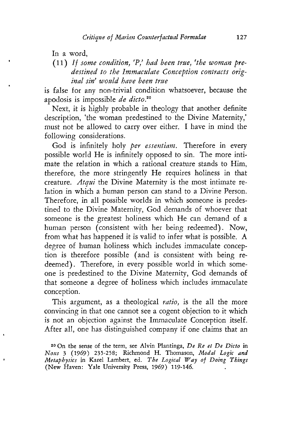In a word,

## (1 1 ) *I f some condition, 'P,' had been true, 'the woman predestined to the Immaculate Conception contracts original sin' would have been true*

is false for any non-trivial condition whatsoever, because the apodosis is impossible *de dicto*.20

Next, it is highly probable in theology that another definite description, 'the woman predestined to the Divine Maternity,' must not be allowed to carry over either. I have in mind the following considerations.

God is infinitely holy *per essentiam.* Therefore in every possible world He is infinitely opposed to sin. The more intimate the relation in which a rational creature stands to Him, therefore, the more stringently He requires holiness in that creature. *Atqui* the Divine Maternity is the most intimate relation in which a human person can stand to a Divine Person. Therefore, in all possible worlds in which someone is predestined to the Divine Maternity, God demands of whoever that someone is the greatest holiness which He can demand of a human person (consistent with her being redeemed). Now, from what has happened it is valid to infer what is possible. A degree of human holiness which includes immaculate conception is therefore possible (and is consistent with being redeemed). Therefore, in every possible world in which someone is predestined to the Divine Maternity, God demands of that someone a degree of holiness which includes immaculate conception.

This argument, as a theological *ratio,* is the all the more convincing in that one cannot see a cogent objection to it which is not an objection against the Immaculate Conception itself. After all, one has distinguished company if one claims that an

**20 On the sense of the term, see Alvin Plantinga,** *De Re et De Dicto* **in** *Nous* **3 (1 9 6 9 ) 235-258; Richmond H. Thomason,** *Modal Logic and Metaphysics* **in Karel Lambert, ed.** *The Logical Way of Doing Things* (New Haven: Yale University Press, 1969) 119-146.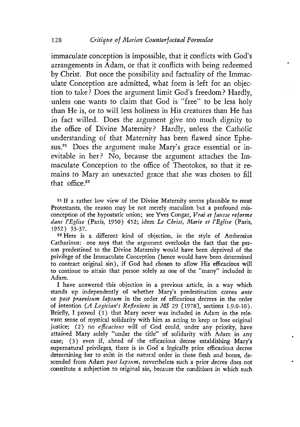immaculate conception is impossible, that it conflicts with God's arrangements in Adam, or that it conflicts with being redeemed by Christ. But once the possibility and factuality of the Immaculate Conception are admitted, what form is left for an objection to take? Does the argument limit God's freedom? Hardly, unless one wants to claim that God is "free" to be less holy than He is, or to will less holiness in His creatures than He has in fact willed. Does the argument give too much dignity to the office of Divine Maternity? Hardly, unless the Catholic understanding of that Maternity has been flawed since Ephesus.<sup>21</sup> Does the argument make Mary's grace essential or inevitable in her? No, because the argument attaches the Immaculate Conception to the office of Theotokos, so that it remains to Mary an unexacted grace that she was chosen to fill that office.22

**21 If a rather low view of the Divine Maternity seems plausible to most Protestants, the reason may be not merely maculism but a profound misconception of the hypostatic union; see Yves Congar,** *Vrai et fausse reforme dans l'Église* **(Paris, 1950) 452; idem** *Le Christ, Marie et l'Église* **(Paris, 1952) 33-37.**

**22 Here is a different kind of objection, in the style of Ambrosius Catharinus: one says that the argument overlooks the fact that the person predestined to the Divine Maternity would have been deprived of the privilege of the Immaculate Conception (hence would have been determined to contract original sin ), if God had chosen to allow His efficacious will to continue to attain that person solely as one of the "many" included in Adam.**

**I have answered this objection in a previous article, in a way which stands up independently of whether Mary's predestination comes** *ante* **or** *post praevisum lapsum* **in the order of efficacious decrees in the order of intention** *(A Logician's Reflexions* **in** *MS* **29 [1 9 7 8 ], sections 1.9.0-10).** Briefly, I proved (1) that Mary never was included in Adam in the rele**vant sense of mystical solidarity with him as acting to keep or lose original** justice; (2) no *efficacious* will of God could, under any priority, have attained Mary solely "under the title" of solidarity with Adam in any **case; (3 ) even if, ahead of the efficacious decree establishing Mary's supernatural privileges, there is in God a logically prior efficacious decree determining her to exist in the natural order in these flesh and bones, descended from Adam** *post lapsum,* **nevertheless such a prior decree does not constitute a subjection to original sin, because the conditions in which such**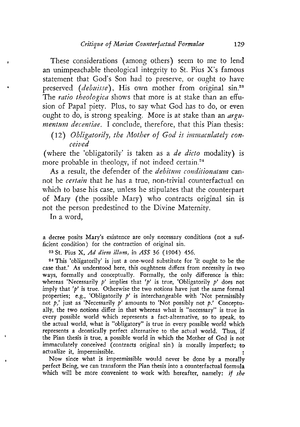These considerations (among others) seem to me to lend an unimpeachable theological integrity to St. Pius X's famous statement that God's Son had to preserve, or ought to have preserved (*debuisse*), His own mother from original sin.<sup>23</sup> The *ratio theologica* shows that more is at stake than an effusion of Papal piety. Plus, to say what God has to do, or even ought to do, is strong speaking. More is at stake than an *argumentum decentiae.* I conclude, therefore, that this Pian thesis:

(12) Obligatorily, the Mother of God is immaculately con*ceived*

(where the 'obligatorily' is taken as a *de dicto* modality) is more probable in theology, if not indeed certain.24

As a result, the defender of the *debitum conditionatum* cannot be *certain* that he has a true, non-trivial counterfactual on which to base his case, unless he stipulates that the counterpart of Mary (the possible Mary) who contracts original sin is not the person predestined to the Divine Maternity.

In a word,

a decree posits Mary's existence are only necessary conditions (not a suf**ficient condition) for the contraction of original sin.**

**23 St. Pius X ,** *Ad diem ilium,* **in** *ASS* **36 (1 9 0 4 ) 456.**

**24 This 'obligatorily' is just a one-word substitute for 'it ought to be the case that.' As understood here, this oughtness differs from necessity in two ways, formally and conceptually. Formally, the only difference is this: whereas 'Necessarily** *p'* **implies that '***p'* **is true, 'Obligatorily** *p'* **does not imply that '***p'* **is true. Otherwise the two notions have just the same formal** properties; e.g., 'Obligatorily  $p'$  is interchangeable with 'Not permissibly not *p*,' just as 'Necessarily *p'* amounts to 'Not possibly not *p*.' Conceptu**ally, the two notions differ in that whereas what is "necessary" is true in every possible world which represents a fact-alternative, so to speak, to the actual world, what is "obligatory" is true in every possible world which represents a deontically perfect alternative to the actual world. Thus, if the Pian thesis is true, a possible world in which the Mother of God is not immaculately conceived (contracts original sin) is morally imperfect; to actualize it, impermissible.** 

**Now since what is impermissible would never be done by a morally perfect Being, we can transform the Pian thesis into a counterfactual formula which will be more convenient to work with hereafter, namely:** *if she*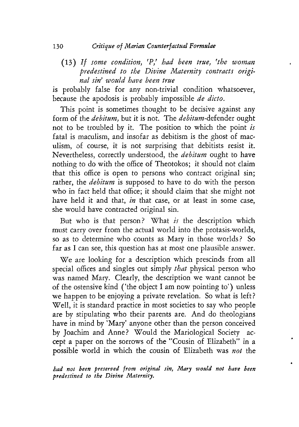#### **130** *Critique of Marian Counterfactual Formulae*

## (1 3 ) *I f some condition, 'P,' had been true, 'the woman predestined to the Divine Maternity contracts original sin' would have been true*

is probably false for any non-trivial condition whatsoever, because the apodosis is probably impossible *de dicto.*

This point is sometimes thought to be decisive against any form of the *debitum,* but it is not. The *debitum*-defender ought not to be troubled by it. The position to which the point *is* fatal is maculism, and insofar as debitism is the ghost of maculism, of course, it is not surprising that debitists resist it. Nevertheless, correctly understood, the *debitum* ought to have nothing to do with the office of Theotokos; it should not claim that this office is open to persons who contract original sin; rather, the *debitum* is supposed to have to do with the person who in fact held that office; it should claim that she might not have held it and that, *in* that case, or at least in some case, she would have contracted original sin.

But who is that person? W hat *is* the description which must carry over from the actual world into the protasis-worlds, so as to determine who counts as Mary in those worlds? So far as I can see, this question has at most one plausible answer.

We are looking for a description which prescinds from all special offices and singles out simply *that* physical person who was named Mary. Clearly, the description we want cannot be of the ostensive kind ('the object I am now pointing to') unless we happen to be enjoying a private revelation. So what is left? Well, it is standard practice in most societies to say who people are by stipulating who their parents are. And do theologians have in mind by 'Mary' anyone other than the person conceived by Joachim and Anne? Would the Mariological Society accept a paper on the sorrows of the "Cousin of Elizabeth" in a possible world in which the cousin of Elizabeth was *not* the \*

*bad not been preserved from original sin, Mary would not have been predestined to the Divine Maternity.*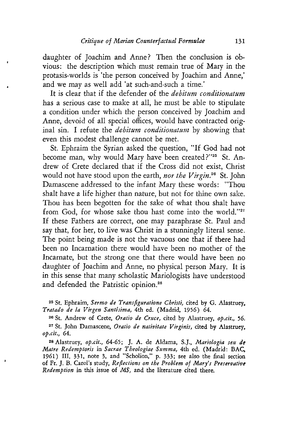daughter of Joachim and Anne? Then the conclusion is obvious: the description which must remain true of Mary in the protasis-worlds is 'the person conceived by Joachim and Anne,' and we may as well add 'at such-and-such a time.'

It is clear that if the defender of the *debitum conditionatum* has a serious case to make at all, he must be able to stipulate a condition under which the person conceived by Joachim and Anne, devoid of all special offices, would have contracted original sin. I refute the *debitum conditionatum* by showing that even this modest challenge cannot be met.

St. Ephraim the Syrian asked the question, "If God had not become man, why would Mary have been created?"<sup>25</sup> St. Andrew of Crete declared that if the Cross did not exist, Christ would not have stood upon the earth, *nor the Virgin.*26 St. John Damascene addressed to the infant Mary these words: "Thou shalt have a life higher than nature, but not for thine own sake. Thou has been begotten for the sake of what thou shalt have from God, for whose sake thou hast come into the world."<sup>27</sup> If these Fathers are correct, one may paraphrase St. Paul and say that, for her, to live was Christ in a stunningly literal sense. The point being made is not the vacuous one that if there had been no Incarnation there would have been no mother of the Incarnate, but the strong one that there would have been no daughter of Joachim and Anne, no physical person Mary. It is in this sense that many scholastic Mariologists have understood and defended the Patristic opinion.<sup>28</sup>

**25 St. Ephraim,** *Sermo de Transfiguratione Christi,* **cited by G. Alastruey,** *Tratado de la Virgen Santisima,* **4th ed. (Madrid, 1956) 64.**

**26 St. Andrew of Crete,** *Oratio de Cruce,* **cited by Alastruey,** *op.cit.,* **56. 27 St. John Damascene,** *Oratio de nativitate Virginis,* **cited by Alastruey,** *op.cit.,* **64.**

**28 Alastruey,** *op.cit.,* **64-65; J. A. de Aldama, S.J.,** *Mariologia seu de Matre Redemptoris* **in** *Sacrae Theologiae Summa,* **4th ed. (M adrid: BAC, 1961) III, 331, note 3, and "Scholion," p. 333; see also the final section of Fr. J. B. Carol's study,** *Reflections on the Problem of Mary's Preservative Redemption* **in this issue of** *MS,* **and the literature cited there.**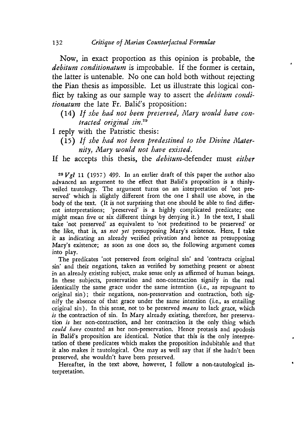Now, in exact proportion as this opinion is probable, the *debitum conditionatum* is improbable. If the former is certain, the latter is untenable. No one can hold both without rejecting the Pian thesis as impossible. Let us illustrate this logical conflict by taking as our sample way to assert the *debitum conditionatum* the late Fr. Balić's proposition:

(14) If she had not been preserved, Mary would have con*tracted original sin.29*

I reply with the Patristic thesis:

(15) If she had not been predestined to the Divine Mater*nity, Mary would not have existed.*

If he accepts this thesis, the *debitum*-defender must *either* 

 $29$  *V gl* 11 (1957) 499. In an earlier draft of this paper the author also **advanced an argument to the effect that Balić's proposition is a thinlyveiled tautology. The argument turns on an interpretation of 'not preserved' which is slightly different from the one I shall use above, in the body of the text. (It is not surprising that one should be able to find different interpretations; 'preserved' is a highly complicated predicate; one might mean five or six different things by denying it.) In the text, I shall take 'not preserved' as equivalent to 'not predestined to be preserved' or** the like, that is, as not yet presupposing Mary's existence. Here, I take **it as indicating an already verified privation and hence as presupposing** Mary's existence; as soon as one does so, the following argument comes **into play.**

**The predicates 'not preserved from original sin' and 'contracts original sin' and their negations, taken as verified by something present or absent in an already existing subject, make sense only as affirmed of human beings. In these subjects, preservation and non-contraction signify in the real identically the same grace under the same intention (i.e., as repugnant to original sin ); their negations, non-preservation and contraction, both signify the absence of that grace under the same intention (i.e., as entailing original sin). In this sense, not to be preserved** *means* **to lack grace, which** *is* **the contraction of sin. In Mary already existing, therefore, her preservation** *is* **her non-contraction, and her contraction is the only thing which** *could have* **counted as her non-preservation. Hence protasis and apodosis in Balić 's proposition are identical. Notice that this is the only interpretation of these predicates which makes the proposition indubitable and that it also makes it tautological. One may as well say that if she hadn't been preserved, she wouldn't have been preserved.**

**Hereafter, in the text above, however, I follow a non-tautological interpretation.**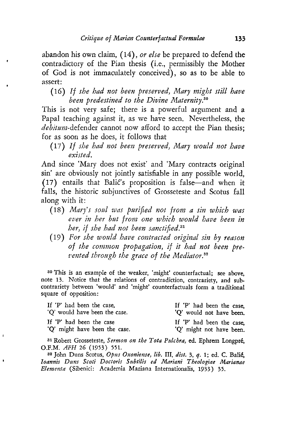abandon his own claim, (14), or else be prepared to defend the contradictory of the Pian thesis (i.e., permissibly the Mother of God is not immaculately conceived), so as to be able to assert:

(1 6 ) *I f she bad not been preserved, Mary might still have been predestined to the Divine Maternity*.<sup>30</sup>

This is not very safe; there is a powerful argument and a Papal teaching against it, as we have seen. Nevertheless, the *debitum*-defender cannot now afford to accept the Pian thesis; for as soon as he does, it follows that

(1 7 ) *I f she had not been preserved, Mary would not have existed.*

And since 'Mary does not exist' and 'Mary contracts original sin' are obviously not jointly satisfiable in any possible world, (17) entails that Balić's proposition is false—and when it falls, the historic subjunctives of Grosseteste and Scotus fall along with it:

- (1 8 ) *Mary's soul was purified not from a sin which was ever in her but from one which would have been in her, if she had not been sanctified?*31
- (1 9 ) *For she would have contracted original sin by reason* of the common propagation, if it had not been pre*vented through the grace of the Mediator*.<sup>32</sup>

**30 This is an example of the weaker, 'might' counterfactual; see above, note 13. Notice that the relations of contradiction, contrariety, and subcontrariety between 'would' and 'might' counterfactuals form a traditional square of opposition:**

| If 'P' had been the case.     | If 'P' had been the case. |
|-------------------------------|---------------------------|
| 'O' would have been the case. | 'Q' would not have been.  |
| If 'P' had been the case      | If 'P' had been the case, |
| 'Q' might have been the case. | 'Q' might not have been.  |

**31 Robert Grosseteste,** *Sermon on the Tota Pulchra,* **ed. Ephrem Longpré, O.F.M.**  $AFH$  26 (1953) 551.

þ

**32 John Duns Scotus,** *Opus Oxoniense, lib.* **III,** *dist.* **3,** *q.* **1; ed. C. Balić,** *Ioannis Duns Scoti Doctoris Subtilis ed Mariani Theologiae Marianae Elementa* **(Sibenici: Academia Mariana Internationalis, 1933) 35.**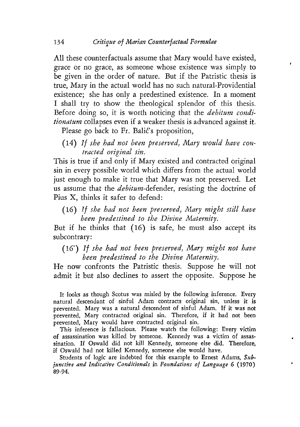All these counterfactuals assume that Mary would have existed, grace or no grace, as someone whose existence was simply to be given in the order of nature. But if the Patristic thesis is true, Mary in the actual world has no such natural-Providential existence; she has only a predestined existence. In a moment I shall try to show the theological splendor of this thesis. Before doing so, it is worth noticing that the *debitum conditionatum* collapses even if a weaker thesis is advanced against it.

Please go back to Fr. Balić's proposition,

(14) If she had not been preserved, Mary would have con*tracted original sin.*

This is true if and only if Mary existed and contracted original sin in every possible world which differs from the actual world just enough to make it true that Mary was not preserved. Let us assume that the *debitum*-defender, resisting the doctrine of Pius X, thinks it safer to defend:

(16) If she had not been preserved, Mary might still have *been predestined to the Divine Maternity.*

But if he thinks that  $(16)$  is safe, he must also accept its subcontrary:

#### (16) If she had not been preserved, Mary might not have *been predestined to the Divine Maternity.*

He now confronts the Patristic thesis. Suppose he will not admit it but also declines to assert the opposite. Suppose he

**It looks as though Scotus was misled by the following inference. Every natural descendant of sinful Adam contracts original sin, unless it is prevented. Mary was a natural descendent of sinful Adam. If it was not prevented, Mary contracted original sin. Therefore, if it had not been prevented, Mary would have contracted original sin.**

**This inference is fallacious. Please watch the following: Every victim of assassination was killed by someone. Kennedy was a victim of assassination. If Oswald did not kill Kennedy, someone else did. Therefore, if Oswald had not killed Kennedy, someone else would have.**

**Students of logic are indebted for this example to Ernest Adams,** *Subjunctive and Indicative Conditionals* **in** *Foundations of Language* **6 (1 9 7 0 ) 89-94.**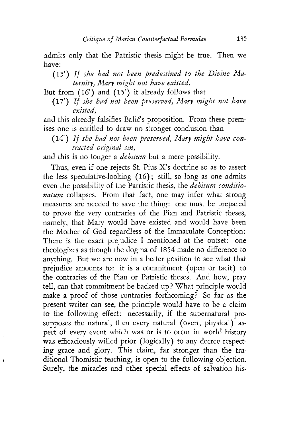admits only that the Patristic thesis might be true. Then we have:

(15') If she had not been predestined to the Divine Ma*ternity, Mary might not have existed.*

But from  $(16')$  and  $(15')$  it already follows that

(1 7 ') *I f she had not been preserved, Mary might not have existed,*

and this already falsifies Balić's proposition. From these premises one is entitled to draw no stronger conclusion than

(14') If she had not been preserved, Mary might have con*tracted original sin,*

and this is no longer a *debitum* but a mere possibility.

Thus, even if one rejects St. Pius X's doctrine so as to assert the less speculative-looking (16); still, so long as one admits even the possibility of the Patristic thesis, the *debitum conditionatum* collapses. From that fact, one may infer what strong measures are needed to save the thing: one must be prepared to prove the very contraries of the Pian and Patristic theses, namely, that Mary would have existed and would have been the Mother of God regardless of the Immaculate Conception: There is the exact prejudice I mentioned at the outset: one theologizes as though the dogma of 1854 made no difference to anything. But we are now in a better position to see what that prejudice amounts to: it is a commitment (open or tacit) to the contraries of the Pian or Patristic theses. And how, pray tell, can that commitment be backed up? W hat principle would make a proof of those contraries forthcoming? So far as the present writer can see, the principle would have to be a claim to the following effect: necessarily, if the supernatural presupposes the natural, then every natural (overt, physical) aspect of every event which was or is to occur in world history was efficaciously willed prior (logically) to any decree respecting grace and glory. This claim, far stronger than the traditional Thomistic teaching, is open to the following objection. Surely, the miracles and other special effects of salvation his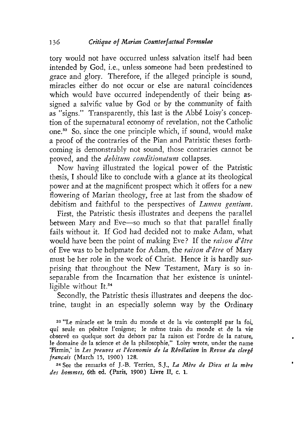tory would not have occurred unless salvation itself had been intended by God, i.e., unless someone had been predestined to grace and glory. Therefore, if the alleged principle is sound, miracles either do not occur or else are natural coincidences which would have occurred independently of their being assigned a salvific value by God or by the community of faith as "signs." Transparently, this last is the Abbé Loisy's conception of the supernatural economy of revelation, not the Catholic one.33 So, since the one principle which, if sound, would make a proof of the contraries of the Pian and Patristic theses forthcoming is demonstrably not sound, those contraries cannot be proved, and the *debitum conditionatum* collapses.

Now having illustrated the logical power of the Patristic thesis, I should like to conclude with a glance at its theological power and at the magnificent prospect which it offers for a new flowering of Marian theology, free at last from the shadow of debitism and faithful to the perspectives of *Lumen gentium.*

First, the Patristic thesis illustrates and deepens the parallel between Mary and Eve— so much so that that parallel finally fails without it. If God had decided not to make Adam, what would have been the point of making Eve? If the *raison d'être* of Eve was to be helpmate for Adam, the *raison d'être* of Mary must be her role in the work of Christ. Hence it is hardly surprising that throughout the New Testament, Mary is so inseparable from the Incarnation that her existence is unintelligible without It.34

Secondly, the Patristic thesis illustrates and deepens the doctrine, taught in an especially solemn way by the Ordinary

**33 "Le miracle est le train du monde et de la vie contemplé par la foi, qui seule en pén**è**tre l'enigme; le même train du monde et de la vie observé en quelque sort du dehors par la raison est l'ordre de la nature, le domaine de la science et de la philosophic," Loisy wrote, under the name 'Firmin,' in** *Les preuves et l'économie de la Revelation* **in** *Revue du clergé français* **(March 15, 1900) 128.**

**34 See the remarks of J.-B . Terrien, S.J.,** *La M ère de Dieu et la mere des hommes,* **6th ed. (Paris, 1900) Livre II, c. 1.**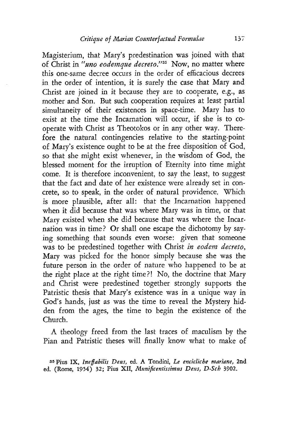Magisterium, that Mary's predestination was joined with that of Christ in *"uno eodemque decreto."*35 Now, no matter where this one-same decree occurs in the order of efficacious decrees in the order of intention, it is surely the case that Mary and Christ are joined in it because they are to cooperate, e.g., as mother and Son. But such cooperation requires at least partial simultaneity of their existences in space-time. Mary has to exist at the time the Incarnation will occur, if she is to cooperate with Christ as Theotokos or in any other way. Therefore the natural contingencies relative to the starting-point of Mary's existence ought to be at the free disposition of God, so that she might exist whenever, in the wisdom of God, the blessed moment for the irruption of Eternity into time might come. It is therefore inconvenient, to say the least, to suggest that the fact and date of her existence were already set in concrete, so to speak, in the order of natural providence. Which is more plausible, after all: that the Incarnation happened when it did because that was where Mary was in time, or that Mary existed when she did because that was where the Incarnation was in time? Or shall one escape the dichotomy by saying something that sounds even worse: given that someone was to be predestined together with Christ *in eodem decreto,* Mary was picked for the honor simply because she was the future person in the order of nature who happened to be at the right place at the right time?! No, the doctrine that Mary and Christ were predestined together strongly supports the Patristic thesis that Mary's existence was in a unique way in God's hands, just as was the time to reveal the Mystery hidden from the ages, the time to begin the existence of the Church.

A theology freed from the last traces of maculism by the Pian and Patristic theses will finally know what to make of

**35 Pius IX ,** *Ineffabilis Deus,* **ed. A Tondini,** *Le encicliche mariane,* **2nd ed. (Rome, 1954) 32; Pius X II,** *Munificentissimus Deus, D-Sch* **3902.**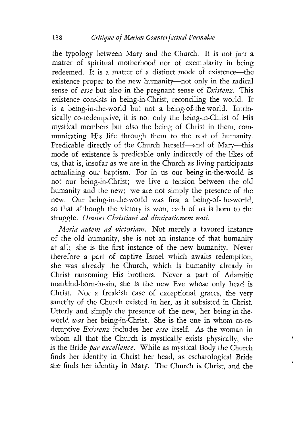the typology between Mary and the Church. It is not *just* a matter of spiritual motherhood nor of exemplarity in being redeemed. It is a matter of a distinct mode of existence— the existence proper to the new humanity-—not only in the radical sense of *esse* but also in the pregnant sense of *Existenz.* This existence consists in being-in-Christ, reconciling the world. It is a being-in-the-world but not a being-of-the-world. Intrinsically co-redemptive, it is not only the being-in-Christ of His mystical members but also the being of Christ in them, communicating His life through them to the rest of humanity. Predicable directly of the Church herself—and of Mary—this mode of existence is predicable only indirectly of the likes of us, that is, insofar as we are in the Church as living participants actualizing our baptism. For in us our being-in-the-world is not our being-in-Christ; we live a tension between the old humanity and the new; we are not simply the presence of the new. Our being-in-the-world was first a being-of-the-world, so that although the victory is won, each of us is born to the struggle. *Omnes Christiani ad dimicationem nati.*

*Maria autem ad victoriam.* Not merely a favored instance of the old humanity, she is not an instance of that humanity at all; she is the first instance of the new humanity. Never therefore a part of captive Israel which awaits redemption, she was already the Church, which is humanity already in Christ ransoming His brothers. Never a part of Adamitic mankind-born-in-sin, she is the new Eve whose only head is Christ. Not a freakish case of exceptional graces, the very sanctity of the Church existed in her, as it subsisted in Christ. Utterly and simply the presence of the new, her being-in-theworld *was* her being-in-Christ. She is the one in whom co-redemptive *Existenz* includes her *esse* itself. As the woman in whom all that the Church is mystically exists physically, she is the Bride *par excellence*. While as mystical Body the Church finds her identity in Christ her head, as eschatological Bride she finds her identity in Mary. The Church is Christ, and the